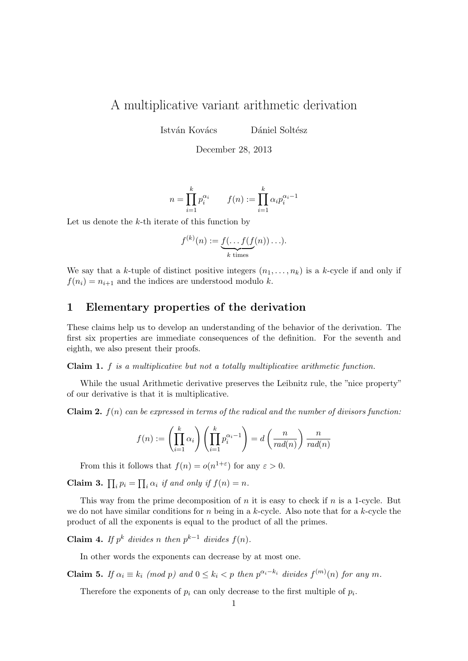## A multiplicative variant arithmetic derivation

István Kovács Dániel Soltész

December 28, 2013

$$
n = \prod_{i=1}^{k} p_i^{\alpha_i} \qquad f(n) := \prod_{i=1}^{k} \alpha_i p_i^{\alpha_i - 1}
$$

Let us denote the  $k$ -th iterate of this function by

$$
f^{(k)}(n) := \underbrace{f(\ldots f(f(n)) \ldots)}_{k \text{ times}}.
$$

We say that a k-tuple of distinct positive integers  $(n_1, \ldots, n_k)$  is a k-cycle if and only if  $f(n_i) = n_{i+1}$  and the indices are understood modulo k.

## 1 Elementary properties of the derivation

These claims help us to develop an understanding of the behavior of the derivation. The first six properties are immediate consequences of the definition. For the seventh and eighth, we also present their proofs.

## Claim 1. f is a multiplicative but not a totally multiplicative arithmetic function.

While the usual Arithmetic derivative preserves the Leibnitz rule, the "nice property" of our derivative is that it is multiplicative.

**Claim 2.**  $f(n)$  can be expressed in terms of the radical and the number of divisors function:

$$
f(n) := \left(\prod_{i=1}^k \alpha_i\right) \left(\prod_{i=1}^k p_i^{\alpha_i - 1}\right) = d\left(\frac{n}{rad(n)}\right) \frac{n}{rad(n)}
$$

From this it follows that  $f(n) = o(n^{1+\epsilon})$  for any  $\epsilon > 0$ .

**Claim 3.**  $\prod_i p_i = \prod_i \alpha_i$  if and only if  $f(n) = n$ .

This way from the prime decomposition of  $n$  it is easy to check if  $n$  is a 1-cycle. But we do not have similar conditions for n being in a k-cycle. Also note that for a k-cycle the product of all the exponents is equal to the product of all the primes.

**Claim 4.** If  $p^k$  divides n then  $p^{k-1}$  divides  $f(n)$ .

In other words the exponents can decrease by at most one.

**Claim 5.** If  $\alpha_i \equiv k_i \pmod{p}$  and  $0 \le k_i < p$  then  $p^{\alpha_i-k_i}$  divides  $f^{(m)}(n)$  for any m.

Therefore the exponents of  $p_i$  can only decrease to the first multiple of  $p_i$ .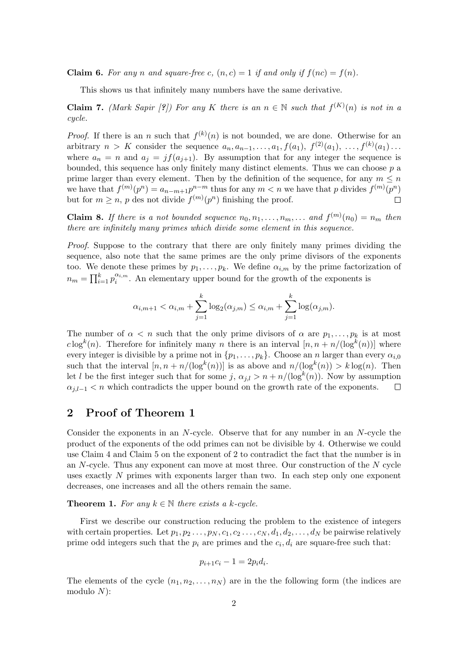**Claim 6.** For any n and square-free c,  $(n, c) = 1$  if and only if  $f(nc) = f(n)$ .

This shows us that infinitely many numbers have the same derivative.

**Claim 7.** (Mark Sapir [?]) For any K there is an  $n \in \mathbb{N}$  such that  $f^{(K)}(n)$  is not in a cycle.

*Proof.* If there is an n such that  $f^{(k)}(n)$  is not bounded, we are done. Otherwise for an arbitrary  $n > K$  consider the sequence  $a_n, a_{n-1}, \ldots, a_1, f(a_1), f^{(2)}(a_1), \ldots, f^{(k)}(a_1) \ldots$ where  $a_n = n$  and  $a_j = j f(a_{j+1})$ . By assumption that for any integer the sequence is bounded, this sequence has only finitely many distinct elements. Thus we can choose  $p$  a prime larger than every element. Then by the definition of the sequence, for any  $m \leq n$ we have that  $f^{(m)}(p^n) = a_{n-m+1}p^{n-m}$  thus for any  $m < n$  we have that p divides  $f^{(m)}(p^n)$ but for  $m \geq n$ , p des not divide  $f^{(m)}(p^n)$  finishing the proof.  $\Box$ 

**Claim 8.** If there is a not bounded sequence  $n_0, n_1, \ldots, n_m, \ldots$  and  $f^{(m)}(n_0) = n_m$  then there are infinitely many primes which divide some element in this sequence.

Proof. Suppose to the contrary that there are only finitely many primes dividing the sequence, also note that the same primes are the only prime divisors of the exponents too. We denote these primes by  $p_1, \ldots, p_k$ . We define  $\alpha_{i,m}$  by the prime factorization of  $n_m = \prod_{i=1}^{k} p_i^{\alpha_{i,m}}$  $\sum_{i=1}^{a_{i,m}}$ . An elementary upper bound for the growth of the exponents is

$$
\alpha_{i,m+1} < \alpha_{i,m} + \sum_{j=1}^{k} \log_2(\alpha_{j,m}) \leq \alpha_{i,m} + \sum_{j=1}^{k} \log(\alpha_{j,m}).
$$

The number of  $\alpha < n$  such that the only prime divisors of  $\alpha$  are  $p_1, \ldots, p_k$  is at most  $c \log^k(n)$ . Therefore for infinitely many n there is an interval  $[n, n + n/(\log^k(n))]$  where every integer is divisible by a prime not in  $\{p_1, \ldots, p_k\}$ . Choose an n larger than every  $\alpha_{i,0}$ such that the interval  $[n, n + n/(\log^k(n))]$  is as above and  $n/(\log^k(n)) > k \log(n)$ . Then let l be the first integer such that for some  $j, \alpha_{j,l} > n + n/(\log^k(n))$ . Now by assumption  $\alpha_{i,l-1} < n$  which contradicts the upper bound on the growth rate of the exponents.  $\Box$ 

## 2 Proof of Theorem 1

Consider the exponents in an N-cycle. Observe that for any number in an N-cycle the product of the exponents of the odd primes can not be divisible by 4. Otherwise we could use Claim 4 and Claim 5 on the exponent of 2 to contradict the fact that the number is in an  $N$ -cycle. Thus any exponent can move at most three. Our construction of the  $N$  cycle uses exactly N primes with exponents larger than two. In each step only one exponent decreases, one increases and all the others remain the same.

**Theorem 1.** For any  $k \in \mathbb{N}$  there exists a k-cycle.

First we describe our construction reducing the problem to the existence of integers with certain properties. Let  $p_1, p_2, \ldots, p_N, c_1, c_2, \ldots, c_N, d_1, d_2, \ldots, d_N$  be pairwise relatively prime odd integers such that the  $p_i$  are primes and the  $c_i, d_i$  are square-free such that:

$$
p_{i+1}c_i - 1 = 2p_id_i.
$$

The elements of the cycle  $(n_1, n_2, \ldots, n_N)$  are in the the following form (the indices are modulo  $N$ ):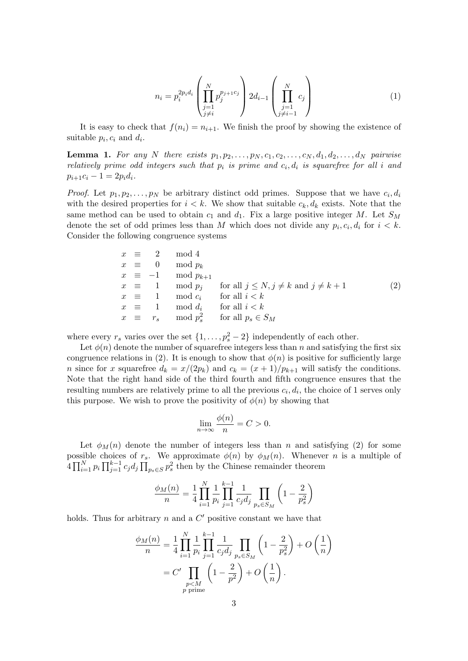$$
n_{i} = p_{i}^{2p_{i}d_{i}} \left( \prod_{\substack{j=1 \ j \neq i}}^{N} p_{j}^{p_{j+1}c_{j}} \right) 2d_{i-1} \left( \prod_{\substack{j=1 \ j \neq i-1}}^{N} c_{j} \right)
$$
 (1)

It is easy to check that  $f(n_i) = n_{i+1}$ . We finish the proof by showing the existence of suitable  $p_i, c_i$  and  $d_i$ .

**Lemma 1.** For any N there exists  $p_1, p_2, \ldots, p_N, c_1, c_2, \ldots, c_N, d_1, d_2, \ldots, d_N$  pairwise relatively prime odd integers such that  $p_i$  is prime and  $c_i, d_i$  is squarefree for all i and  $p_{i+1}c_i - 1 = 2p_id_i.$ 

*Proof.* Let  $p_1, p_2, \ldots, p_N$  be arbitrary distinct odd primes. Suppose that we have  $c_i, d_i$ with the desired properties for  $i < k$ . We show that suitable  $c_k, d_k$  exists. Note that the same method can be used to obtain  $c_1$  and  $d_1$ . Fix a large positive integer M. Let  $S_M$ denote the set of odd primes less than M which does not divide any  $p_i, c_i, d_i$  for  $i < k$ . Consider the following congruence systems

$$
x \equiv 2 \mod 4
$$
  
\n
$$
x \equiv 0 \mod p_k
$$
  
\n
$$
x \equiv -1 \mod p_{k+1}
$$
  
\n
$$
x \equiv 1 \mod p_j \quad \text{for all } j \le N, j \ne k \text{ and } j \ne k+1
$$
  
\n
$$
x \equiv 1 \mod c_i \quad \text{for all } i < k
$$
  
\n
$$
x \equiv 1 \mod d_i \quad \text{for all } i < k
$$
  
\n
$$
x \equiv r_s \mod p_s^2 \quad \text{for all } p_s \in S_M
$$
\n(2)

where every  $r_s$  varies over the set  $\{1, \ldots, p_s^2 - 2\}$  independently of each other.

Let  $\phi(n)$  denote the number of squarefree integers less than n and satisfying the first six congruence relations in (2). It is enough to show that  $\phi(n)$  is positive for sufficiently large n since for x squarefree  $d_k = x/(2p_k)$  and  $c_k = (x+1)/p_{k+1}$  will satisfy the conditions. Note that the right hand side of the third fourth and fifth congruence ensures that the resulting numbers are relatively prime to all the previous  $c_i, d_i$ , the choice of 1 serves only this purpose. We wish to prove the positivity of  $\phi(n)$  by showing that

$$
\lim_{n \to \infty} \frac{\phi(n)}{n} = C > 0.
$$

Let  $\phi_M(n)$  denote the number of integers less than n and satisfying (2) for some possible choices of  $r_s$ . We approximate  $\phi(n)$  by  $\phi_M(n)$ . Whenever n is a multiple of  $4\prod_{i=1}^N p_i \prod_{j=1}^{k-1} c_j d_j \prod_{p_s \in S} p_s^2$  then by the Chinese remainder theorem

$$
\frac{\phi_M(n)}{n} = \frac{1}{4} \prod_{i=1}^N \frac{1}{p_i} \prod_{j=1}^{k-1} \frac{1}{c_j d_j} \prod_{p_s \in S_M} \left( 1 - \frac{2}{p_s^2} \right)
$$

holds. Thus for arbitrary  $n$  and a  $C'$  positive constant we have that

$$
\frac{\phi_M(n)}{n} = \frac{1}{4} \prod_{i=1}^N \frac{1}{p_i} \prod_{j=1}^{k-1} \frac{1}{c_j d_j} \prod_{p_s \in S_M} \left( 1 - \frac{2}{p_s^2} \right) + O\left(\frac{1}{n}\right)
$$
  
=  $C' \prod_{\substack{p < M \\ p \text{ prime}}} \left( 1 - \frac{2}{p^2} \right) + O\left(\frac{1}{n}\right).$